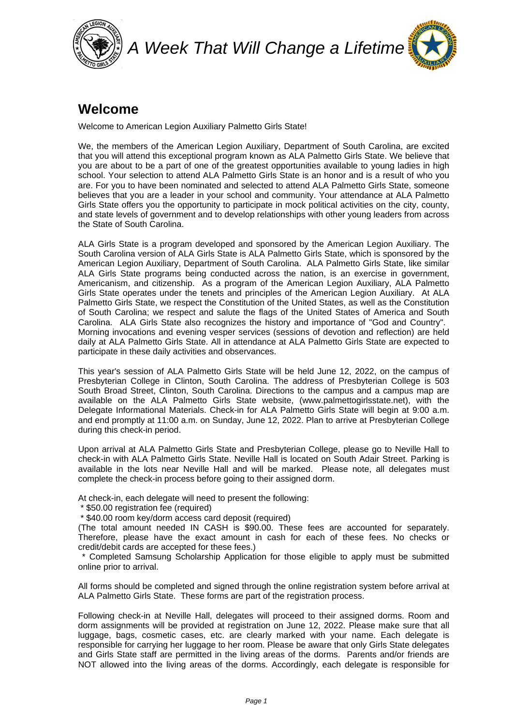

## **Welcome**

Welcome to American Legion Auxiliary Palmetto Girls State!

We, the members of the American Legion Auxiliary, Department of South Carolina, are excited that you will attend this exceptional program known as ALA Palmetto Girls State. We believe that you are about to be a part of one of the greatest opportunities available to young ladies in high school. Your selection to attend ALA Palmetto Girls State is an honor and is a result of who you are. For you to have been nominated and selected to attend ALA Palmetto Girls State, someone believes that you are a leader in your school and community. Your attendance at ALA Palmetto Girls State offers you the opportunity to participate in mock political activities on the city, county, and state levels of government and to develop relationships with other young leaders from across the State of South Carolina.

ALA Girls State is a program developed and sponsored by the American Legion Auxiliary. The South Carolina version of ALA Girls State is ALA Palmetto Girls State, which is sponsored by the American Legion Auxiliary, Department of South Carolina. ALA Palmetto Girls State, like similar ALA Girls State programs being conducted across the nation, is an exercise in government, Americanism, and citizenship. As a program of the American Legion Auxiliary, ALA Palmetto Girls State operates under the tenets and principles of the American Legion Auxiliary. At ALA Palmetto Girls State, we respect the Constitution of the United States, as well as the Constitution of South Carolina; we respect and salute the flags of the United States of America and South Carolina. ALA Girls State also recognizes the history and importance of "God and Country". Morning invocations and evening vesper services (sessions of devotion and reflection) are held daily at ALA Palmetto Girls State. All in attendance at ALA Palmetto Girls State are expected to participate in these daily activities and observances.

This year's session of ALA Palmetto Girls State will be held June 12, 2022, on the campus of Presbyterian College in Clinton, South Carolina. The address of Presbyterian College is 503 South Broad Street, Clinton, South Carolina. Directions to the campus and a campus map are available on the ALA Palmetto Girls State website, (www.palmettogirlsstate.net), with the Delegate Informational Materials. Check-in for ALA Palmetto Girls State will begin at 9:00 a.m. and end promptly at 11:00 a.m. on Sunday, June 12, 2022. Plan to arrive at Presbyterian College during this check-in period.

Upon arrival at ALA Palmetto Girls State and Presbyterian College, please go to Neville Hall to check-in with ALA Palmetto Girls State. Neville Hall is located on South Adair Street. Parking is available in the lots near Neville Hall and will be marked. Please note, all delegates must complete the check-in process before going to their assigned dorm.

At check-in, each delegate will need to present the following:

\* \$50.00 registration fee (required)

\* \$40.00 room key/dorm access card deposit (required)

(The total amount needed IN CASH is \$90.00. These fees are accounted for separately. Therefore, please have the exact amount in cash for each of these fees. No checks or credit/debit cards are accepted for these fees.)

 \* Completed Samsung Scholarship Application for those eligible to apply must be submitted online prior to arrival.

All forms should be completed and signed through the online registration system before arrival at ALA Palmetto Girls State. These forms are part of the registration process.

Following check-in at Neville Hall, delegates will proceed to their assigned dorms. Room and dorm assignments will be provided at registration on June 12, 2022. Please make sure that all luggage, bags, cosmetic cases, etc. are clearly marked with your name. Each delegate is responsible for carrying her luggage to her room. Please be aware that only Girls State delegates and Girls State staff are permitted in the living areas of the dorms. Parents and/or friends are NOT allowed into the living areas of the dorms. Accordingly, each delegate is responsible for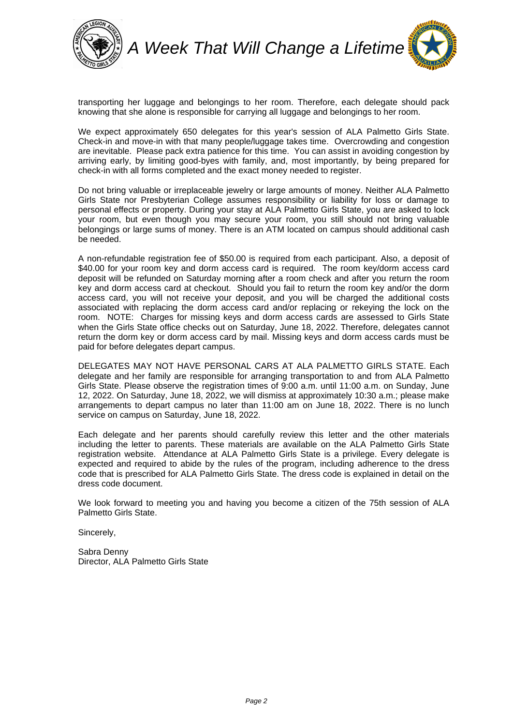

transporting her luggage and belongings to her room. Therefore, each delegate should pack knowing that she alone is responsible for carrying all luggage and belongings to her room.

We expect approximately 650 delegates for this year's session of ALA Palmetto Girls State. Check-in and move-in with that many people/luggage takes time. Overcrowding and congestion are inevitable. Please pack extra patience for this time. You can assist in avoiding congestion by arriving early, by limiting good-byes with family, and, most importantly, by being prepared for check-in with all forms completed and the exact money needed to register.

Do not bring valuable or irreplaceable jewelry or large amounts of money. Neither ALA Palmetto Girls State nor Presbyterian College assumes responsibility or liability for loss or damage to personal effects or property. During your stay at ALA Palmetto Girls State, you are asked to lock your room, but even though you may secure your room, you still should not bring valuable belongings or large sums of money. There is an ATM located on campus should additional cash be needed.

A non-refundable registration fee of \$50.00 is required from each participant. Also, a deposit of \$40.00 for your room key and dorm access card is required. The room key/dorm access card deposit will be refunded on Saturday morning after a room check and after you return the room key and dorm access card at checkout. Should you fail to return the room key and/or the dorm access card, you will not receive your deposit, and you will be charged the additional costs associated with replacing the dorm access card and/or replacing or rekeying the lock on the room. NOTE: Charges for missing keys and dorm access cards are assessed to Girls State when the Girls State office checks out on Saturday, June 18, 2022. Therefore, delegates cannot return the dorm key or dorm access card by mail. Missing keys and dorm access cards must be paid for before delegates depart campus.

DELEGATES MAY NOT HAVE PERSONAL CARS AT ALA PALMETTO GIRLS STATE. Each delegate and her family are responsible for arranging transportation to and from ALA Palmetto Girls State. Please observe the registration times of 9:00 a.m. until 11:00 a.m. on Sunday, June 12, 2022. On Saturday, June 18, 2022, we will dismiss at approximately 10:30 a.m.; please make arrangements to depart campus no later than 11:00 am on June 18, 2022. There is no lunch service on campus on Saturday, June 18, 2022.

Each delegate and her parents should carefully review this letter and the other materials including the letter to parents. These materials are available on the ALA Palmetto Girls State registration website. Attendance at ALA Palmetto Girls State is a privilege. Every delegate is expected and required to abide by the rules of the program, including adherence to the dress code that is prescribed for ALA Palmetto Girls State. The dress code is explained in detail on the dress code document.

We look forward to meeting you and having you become a citizen of the 75th session of ALA Palmetto Girls State.

Sincerely,

Sabra Denny Director, ALA Palmetto Girls State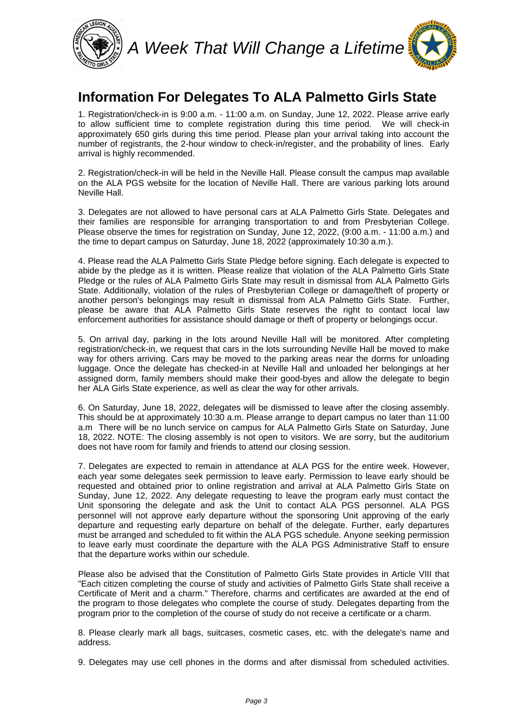

#### **Information For Delegates To ALA Palmetto Girls State**

1. Registration/check-in is 9:00 a.m. - 11:00 a.m. on Sunday, June 12, 2022. Please arrive early to allow sufficient time to complete registration during this time period. We will check-in approximately 650 girls during this time period. Please plan your arrival taking into account the number of registrants, the 2-hour window to check-in/register, and the probability of lines. Early arrival is highly recommended.

2. Registration/check-in will be held in the Neville Hall. Please consult the campus map available on the ALA PGS website for the location of Neville Hall. There are various parking lots around Neville Hall.

3. Delegates are not allowed to have personal cars at ALA Palmetto Girls State. Delegates and their families are responsible for arranging transportation to and from Presbyterian College. Please observe the times for registration on Sunday, June 12, 2022, (9:00 a.m. - 11:00 a.m.) and the time to depart campus on Saturday, June 18, 2022 (approximately 10:30 a.m.).

4. Please read the ALA Palmetto Girls State Pledge before signing. Each delegate is expected to abide by the pledge as it is written. Please realize that violation of the ALA Palmetto Girls State Pledge or the rules of ALA Palmetto Girls State may result in dismissal from ALA Palmetto Girls State. Additionally, violation of the rules of Presbyterian College or damage/theft of property or another person's belongings may result in dismissal from ALA Palmetto Girls State. Further, please be aware that ALA Palmetto Girls State reserves the right to contact local law enforcement authorities for assistance should damage or theft of property or belongings occur.

5. On arrival day, parking in the lots around Neville Hall will be monitored. After completing registration/check-in, we request that cars in the lots surrounding Neville Hall be moved to make way for others arriving. Cars may be moved to the parking areas near the dorms for unloading luggage. Once the delegate has checked-in at Neville Hall and unloaded her belongings at her assigned dorm, family members should make their good-byes and allow the delegate to begin her ALA Girls State experience, as well as clear the way for other arrivals.

6. On Saturday, June 18, 2022, delegates will be dismissed to leave after the closing assembly. This should be at approximately 10:30 a.m. Please arrange to depart campus no later than 11:00 a.m There will be no lunch service on campus for ALA Palmetto Girls State on Saturday, June 18, 2022. NOTE: The closing assembly is not open to visitors. We are sorry, but the auditorium does not have room for family and friends to attend our closing session.

7. Delegates are expected to remain in attendance at ALA PGS for the entire week. However, each year some delegates seek permission to leave early. Permission to leave early should be requested and obtained prior to online registration and arrival at ALA Palmetto Girls State on Sunday, June 12, 2022. Any delegate requesting to leave the program early must contact the Unit sponsoring the delegate and ask the Unit to contact ALA PGS personnel. ALA PGS personnel will not approve early departure without the sponsoring Unit approving of the early departure and requesting early departure on behalf of the delegate. Further, early departures must be arranged and scheduled to fit within the ALA PGS schedule. Anyone seeking permission to leave early must coordinate the departure with the ALA PGS Administrative Staff to ensure that the departure works within our schedule.

Please also be advised that the Constitution of Palmetto Girls State provides in Article VIII that "Each citizen completing the course of study and activities of Palmetto Girls State shall receive a Certificate of Merit and a charm." Therefore, charms and certificates are awarded at the end of the program to those delegates who complete the course of study. Delegates departing from the program prior to the completion of the course of study do not receive a certificate or a charm.

8. Please clearly mark all bags, suitcases, cosmetic cases, etc. with the delegate's name and address.

9. Delegates may use cell phones in the dorms and after dismissal from scheduled activities.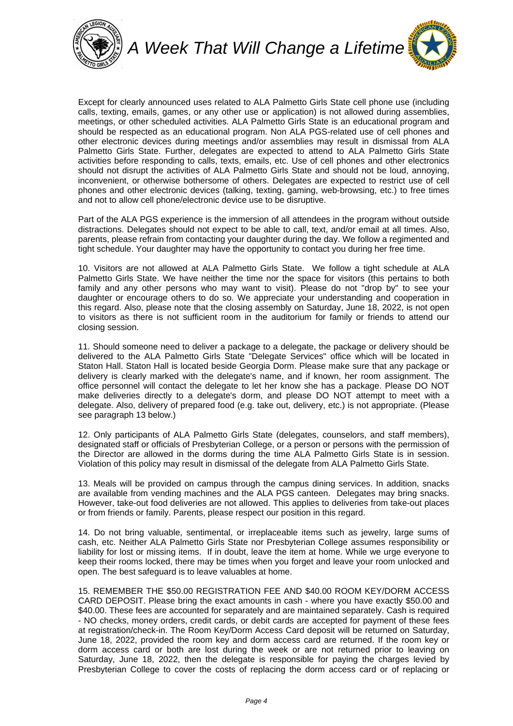

Except for clearly announced uses related to ALA Palmetto Girls State cell phone use (including calls, texting, emails, games, or any other use or application) is not allowed during assemblies, meetings, or other scheduled activities. ALA Palmetto Girls State is an educational program and should be respected as an educational program. Non ALA PGS-related use of cell phones and other electronic devices during meetings and/or assemblies may result in dismissal from ALA Palmetto Girls State. Further, delegates are expected to attend to ALA Palmetto Girls State activities before responding to calls, texts, emails, etc. Use of cell phones and other electronics should not disrupt the activities of ALA Palmetto Girls State and should not be loud, annoying, inconvenient, or otherwise bothersome of others. Delegates are expected to restrict use of cell phones and other electronic devices (talking, texting, gaming, web-browsing, etc.) to free times and not to allow cell phone/electronic device use to be disruptive.

Part of the ALA PGS experience is the immersion of all attendees in the program without outside distractions. Delegates should not expect to be able to call, text, and/or email at all times. Also, parents, please refrain from contacting your daughter during the day. We follow a regimented and tight schedule. Your daughter may have the opportunity to contact you during her free time.

10. Visitors are not allowed at ALA Palmetto Girls State. We follow a tight schedule at ALA Palmetto Girls State. We have neither the time nor the space for visitors (this pertains to both family and any other persons who may want to visit). Please do not "drop by" to see your daughter or encourage others to do so. We appreciate your understanding and cooperation in this regard. Also, please note that the closing assembly on Saturday, June 18, 2022, is not open to visitors as there is not sufficient room in the auditorium for family or friends to attend our closing session.

11. Should someone need to deliver a package to a delegate, the package or delivery should be delivered to the ALA Palmetto Girls State "Delegate Services" office which will be located in Staton Hall. Staton Hall is located beside Georgia Dorm. Please make sure that any package or delivery is clearly marked with the delegate's name, and if known, her room assignment. The office personnel will contact the delegate to let her know she has a package. Please DO NOT make deliveries directly to a delegate's dorm, and please DO NOT attempt to meet with a delegate. Also, delivery of prepared food (e.g. take out, delivery, etc.) is not appropriate. (Please see paragraph 13 below.)

12. Only participants of ALA Palmetto Girls State (delegates, counselors, and staff members), designated staff or officials of Presbyterian College, or a person or persons with the permission of the Director are allowed in the dorms during the time ALA Palmetto Girls State is in session. Violation of this policy may result in dismissal of the delegate from ALA Palmetto Girls State.

13. Meals will be provided on campus through the campus dining services. In addition, snacks are available from vending machines and the ALA PGS canteen. Delegates may bring snacks. However, take-out food deliveries are not allowed. This applies to deliveries from take-out places or from friends or family. Parents, please respect our position in this regard.

14. Do not bring valuable, sentimental, or irreplaceable items such as jewelry, large sums of cash, etc. Neither ALA Palmetto Girls State nor Presbyterian College assumes responsibility or liability for lost or missing items. If in doubt, leave the item at home. While we urge everyone to keep their rooms locked, there may be times when you forget and leave your room unlocked and open. The best safeguard is to leave valuables at home.

15. REMEMBER THE \$50.00 REGISTRATION FEE AND \$40.00 ROOM KEY/DORM ACCESS CARD DEPOSIT. Please bring the exact amounts in cash - where you have exactly \$50.00 and \$40.00. These fees are accounted for separately and are maintained separately. Cash is required - NO checks, money orders, credit cards, or debit cards are accepted for payment of these fees at registration/check-in. The Room Key/Dorm Access Card deposit will be returned on Saturday, June 18, 2022, provided the room key and dorm access card are returned. If the room key or dorm access card or both are lost during the week or are not returned prior to leaving on Saturday, June 18, 2022, then the delegate is responsible for paying the charges levied by Presbyterian College to cover the costs of replacing the dorm access card or of replacing or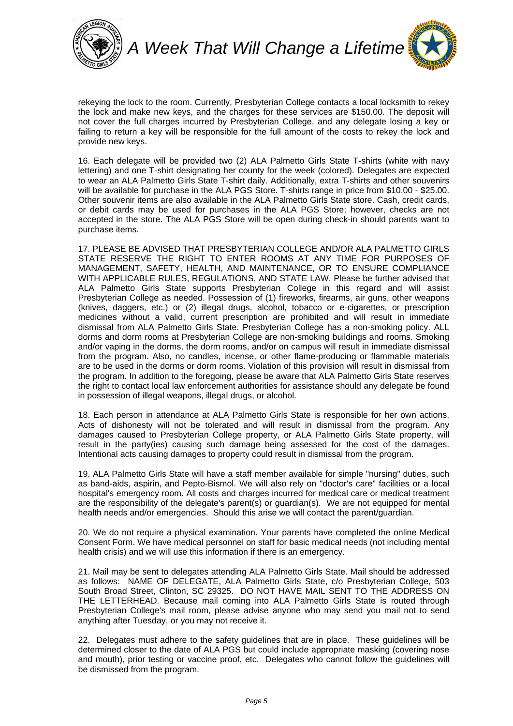

rekeying the lock to the room. Currently, Presbyterian College contacts a local locksmith to rekey the lock and make new keys, and the charges for these services are \$150.00. The deposit will not cover the full charges incurred by Presbyterian College, and any delegate losing a key or failing to return a key will be responsible for the full amount of the costs to rekey the lock and provide new keys.

16. Each delegate will be provided two (2) ALA Palmetto Girls State T-shirts (white with navy lettering) and one T-shirt designating her county for the week (colored). Delegates are expected to wear an ALA Palmetto Girls State T-shirt daily. Additionally, extra T-shirts and other souvenirs will be available for purchase in the ALA PGS Store. T-shirts range in price from \$10.00 - \$25.00. Other souvenir items are also available in the ALA Palmetto Girls State store. Cash, credit cards, or debit cards may be used for purchases in the ALA PGS Store; however, checks are not accepted in the store. The ALA PGS Store will be open during check-in should parents want to purchase items.

17. PLEASE BE ADVISED THAT PRESBYTERIAN COLLEGE AND/OR ALA PALMETTO GIRLS STATE RESERVE THE RIGHT TO ENTER ROOMS AT ANY TIME FOR PURPOSES OF MANAGEMENT, SAFETY, HEALTH, AND MAINTENANCE, OR TO ENSURE COMPLIANCE WITH APPLICABLE RULES, REGULATIONS, AND STATE LAW. Please be further advised that ALA Palmetto Girls State supports Presbyterian College in this regard and will assist Presbyterian College as needed. Possession of (1) fireworks, firearms, air guns, other weapons (knives, daggers, etc.) or (2) illegal drugs, alcohol, tobacco or e-cigarettes, or prescription medicines without a valid, current prescription are prohibited and will result in immediate dismissal from ALA Palmetto Girls State. Presbyterian College has a non-smoking policy. ALL dorms and dorm rooms at Presbyterian College are non-smoking buildings and rooms. Smoking and/or vaping in the dorms, the dorm rooms, and/or on campus will result in immediate dismissal from the program. Also, no candles, incense, or other flame-producing or flammable materials are to be used in the dorms or dorm rooms. Violation of this provision will result in dismissal from the program. In addition to the foregoing, please be aware that ALA Palmetto Girls State reserves the right to contact local law enforcement authorities for assistance should any delegate be found in possession of illegal weapons, illegal drugs, or alcohol.

18. Each person in attendance at ALA Palmetto Girls State is responsible for her own actions. Acts of dishonesty will not be tolerated and will result in dismissal from the program. Any damages caused to Presbyterian College property, or ALA Palmetto Girls State property, will result in the party(ies) causing such damage being assessed for the cost of the damages. Intentional acts causing damages to property could result in dismissal from the program.

19. ALA Palmetto Girls State will have a staff member available for simple "nursing" duties, such as band-aids, aspirin, and Pepto-Bismol. We will also rely on "doctor's care" facilities or a local hospital's emergency room. All costs and charges incurred for medical care or medical treatment are the responsibility of the delegate's parent(s) or guardian(s). We are not equipped for mental health needs and/or emergencies. Should this arise we will contact the parent/guardian.

20. We do not require a physical examination. Your parents have completed the online Medical Consent Form. We have medical personnel on staff for basic medical needs (not including mental health crisis) and we will use this information if there is an emergency.

21. Mail may be sent to delegates attending ALA Palmetto Girls State. Mail should be addressed as follows: NAME OF DELEGATE, ALA Palmetto Girls State, c/o Presbyterian College, 503 South Broad Street, Clinton, SC 29325. DO NOT HAVE MAIL SENT TO THE ADDRESS ON THE LETTERHEAD. Because mail coming into ALA Palmetto Girls State is routed through Presbyterian College's mail room, please advise anyone who may send you mail not to send anything after Tuesday, or you may not receive it.

22. Delegates must adhere to the safety guidelines that are in place. These guidelines will be determined closer to the date of ALA PGS but could include appropriate masking (covering nose and mouth), prior testing or vaccine proof, etc. Delegates who cannot follow the guidelines will be dismissed from the program.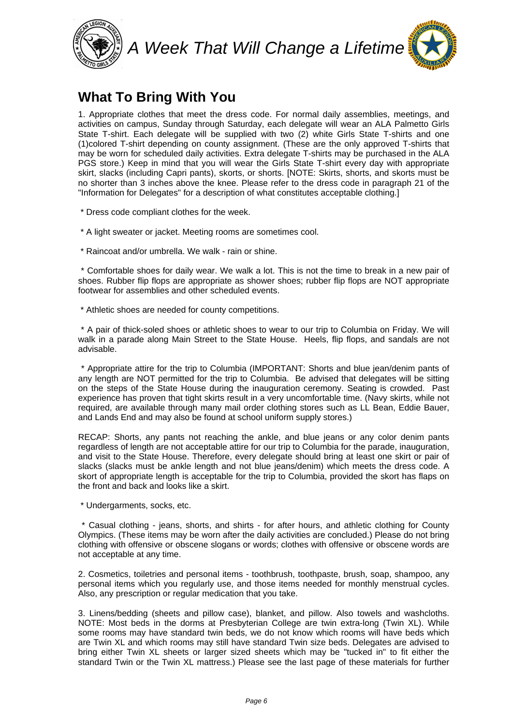



#### **What To Bring With You**

1. Appropriate clothes that meet the dress code. For normal daily assemblies, meetings, and activities on campus, Sunday through Saturday, each delegate will wear an ALA Palmetto Girls State T-shirt. Each delegate will be supplied with two (2) white Girls State T-shirts and one (1)colored T-shirt depending on county assignment. (These are the only approved T-shirts that may be worn for scheduled daily activities. Extra delegate T-shirts may be purchased in the ALA PGS store.) Keep in mind that you will wear the Girls State T-shirt every day with appropriate skirt, slacks (including Capri pants), skorts, or shorts. [NOTE: Skirts, shorts, and skorts must be no shorter than 3 inches above the knee. Please refer to the dress code in paragraph 21 of the "Information for Delegates" for a description of what constitutes acceptable clothing.]

\* Dress code compliant clothes for the week.

\* A light sweater or jacket. Meeting rooms are sometimes cool.

\* Raincoat and/or umbrella. We walk - rain or shine.

 \* Comfortable shoes for daily wear. We walk a lot. This is not the time to break in a new pair of shoes. Rubber flip flops are appropriate as shower shoes; rubber flip flops are NOT appropriate footwear for assemblies and other scheduled events.

\* Athletic shoes are needed for county competitions.

 \* A pair of thick-soled shoes or athletic shoes to wear to our trip to Columbia on Friday. We will walk in a parade along Main Street to the State House. Heels, flip flops, and sandals are not advisable.

 \* Appropriate attire for the trip to Columbia (IMPORTANT: Shorts and blue jean/denim pants of any length are NOT permitted for the trip to Columbia. Be advised that delegates will be sitting on the steps of the State House during the inauguration ceremony. Seating is crowded. Past experience has proven that tight skirts result in a very uncomfortable time. (Navy skirts, while not required, are available through many mail order clothing stores such as LL Bean, Eddie Bauer, and Lands End and may also be found at school uniform supply stores.)

RECAP: Shorts, any pants not reaching the ankle, and blue jeans or any color denim pants regardless of length are not acceptable attire for our trip to Columbia for the parade, inauguration, and visit to the State House. Therefore, every delegate should bring at least one skirt or pair of slacks (slacks must be ankle length and not blue jeans/denim) which meets the dress code. A skort of appropriate length is acceptable for the trip to Columbia, provided the skort has flaps on the front and back and looks like a skirt.

\* Undergarments, socks, etc.

 \* Casual clothing - jeans, shorts, and shirts - for after hours, and athletic clothing for County Olympics. (These items may be worn after the daily activities are concluded.) Please do not bring clothing with offensive or obscene slogans or words; clothes with offensive or obscene words are not acceptable at any time.

2. Cosmetics, toiletries and personal items - toothbrush, toothpaste, brush, soap, shampoo, any personal items which you regularly use, and those items needed for monthly menstrual cycles. Also, any prescription or regular medication that you take.

3. Linens/bedding (sheets and pillow case), blanket, and pillow. Also towels and washcloths. NOTE: Most beds in the dorms at Presbyterian College are twin extra-long (Twin XL). While some rooms may have standard twin beds, we do not know which rooms will have beds which are Twin XL and which rooms may still have standard Twin size beds. Delegates are advised to bring either Twin XL sheets or larger sized sheets which may be "tucked in" to fit either the standard Twin or the Twin XL mattress.) Please see the last page of these materials for further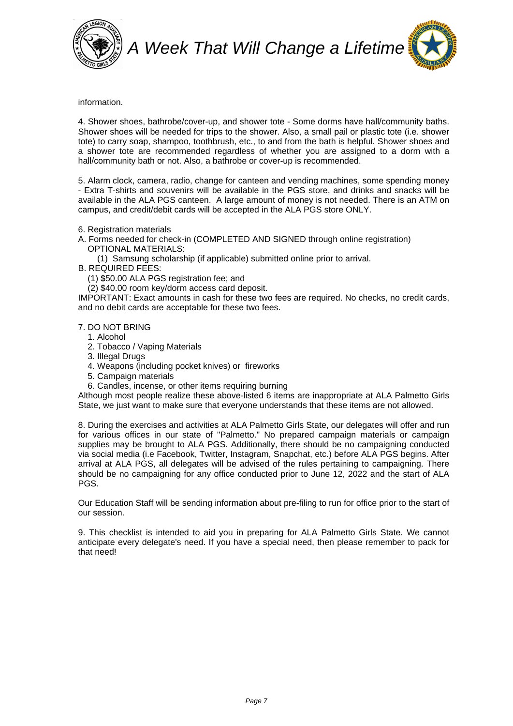



information.

4. Shower shoes, bathrobe/cover-up, and shower tote - Some dorms have hall/community baths. Shower shoes will be needed for trips to the shower. Also, a small pail or plastic tote (i.e. shower tote) to carry soap, shampoo, toothbrush, etc., to and from the bath is helpful. Shower shoes and a shower tote are recommended regardless of whether you are assigned to a dorm with a hall/community bath or not. Also, a bathrobe or cover-up is recommended.

5. Alarm clock, camera, radio, change for canteen and vending machines, some spending money - Extra T-shirts and souvenirs will be available in the PGS store, and drinks and snacks will be available in the ALA PGS canteen. A large amount of money is not needed. There is an ATM on campus, and credit/debit cards will be accepted in the ALA PGS store ONLY.

6. Registration materials

A. Forms needed for check-in (COMPLETED AND SIGNED through online registration) OPTIONAL MATERIALS:

(1) Samsung scholarship (if applicable) submitted online prior to arrival.

B. REQUIRED FEES:

(1) \$50.00 ALA PGS registration fee; and 

(2) \$40.00 room key/dorm access card deposit.

IMPORTANT: Exact amounts in cash for these two fees are required. No checks, no credit cards, and no debit cards are acceptable for these two fees.

#### 7. DO NOT BRING

- 1. Alcohol
- 2. Tobacco / Vaping Materials
- 3. Illegal Drugs
- 4. Weapons (including pocket knives) or fireworks
- 5. Campaign materials
- 6. Candles, incense, or other items requiring burning

Although most people realize these above-listed 6 items are inappropriate at ALA Palmetto Girls State, we just want to make sure that everyone understands that these items are not allowed.

8. During the exercises and activities at ALA Palmetto Girls State, our delegates will offer and run for various offices in our state of "Palmetto." No prepared campaign materials or campaign supplies may be brought to ALA PGS. Additionally, there should be no campaigning conducted via social media (i.e Facebook, Twitter, Instagram, Snapchat, etc.) before ALA PGS begins. After arrival at ALA PGS, all delegates will be advised of the rules pertaining to campaigning. There should be no campaigning for any office conducted prior to June 12, 2022 and the start of ALA PGS.

Our Education Staff will be sending information about pre-filing to run for office prior to the start of our session.

9. This checklist is intended to aid you in preparing for ALA Palmetto Girls State. We cannot anticipate every delegate's need. If you have a special need, then please remember to pack for that need!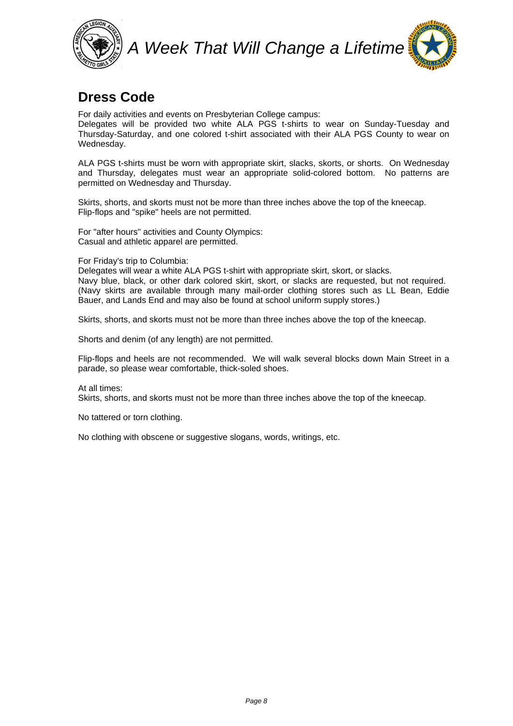

#### **Dress Code**

For daily activities and events on Presbyterian College campus:

Delegates will be provided two white ALA PGS t-shirts to wear on Sunday-Tuesday and Thursday-Saturday, and one colored t-shirt associated with their ALA PGS County to wear on Wednesday.

ALA PGS t-shirts must be worn with appropriate skirt, slacks, skorts, or shorts. On Wednesday and Thursday, delegates must wear an appropriate solid-colored bottom. No patterns are permitted on Wednesday and Thursday.

Skirts, shorts, and skorts must not be more than three inches above the top of the kneecap. Flip-flops and "spike" heels are not permitted.

For "after hours" activities and County Olympics: Casual and athletic apparel are permitted.

For Friday's trip to Columbia:

Delegates will wear a white ALA PGS t-shirt with appropriate skirt, skort, or slacks. Navy blue, black, or other dark colored skirt, skort, or slacks are requested, but not required. (Navy skirts are available through many mail-order clothing stores such as LL Bean, Eddie Bauer, and Lands End and may also be found at school uniform supply stores.)

Skirts, shorts, and skorts must not be more than three inches above the top of the kneecap.

Shorts and denim (of any length) are not permitted.

Flip-flops and heels are not recommended. We will walk several blocks down Main Street in a parade, so please wear comfortable, thick-soled shoes.

At all times: Skirts, shorts, and skorts must not be more than three inches above the top of the kneecap.

No tattered or torn clothing.

No clothing with obscene or suggestive slogans, words, writings, etc.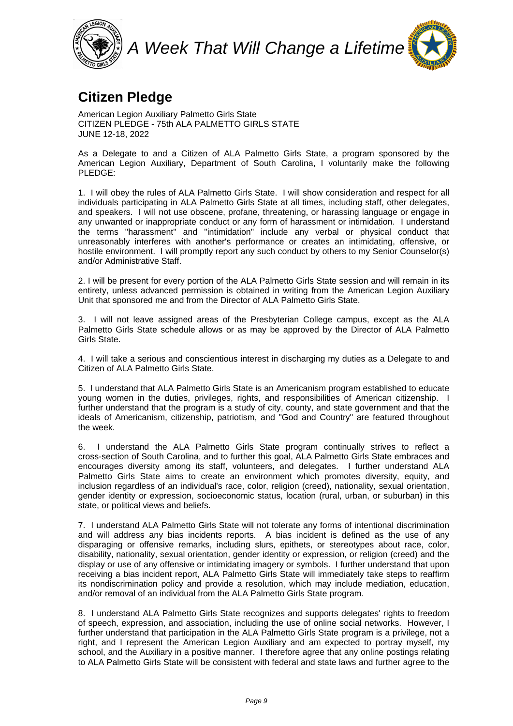

#### **Citizen Pledge**

American Legion Auxiliary Palmetto Girls State CITIZEN PLEDGE - 75th ALA PALMETTO GIRLS STATE JUNE 12-18, 2022

As a Delegate to and a Citizen of ALA Palmetto Girls State, a program sponsored by the American Legion Auxiliary, Department of South Carolina, I voluntarily make the following PLEDGE:

1. I will obey the rules of ALA Palmetto Girls State. I will show consideration and respect for all individuals participating in ALA Palmetto Girls State at all times, including staff, other delegates, and speakers. I will not use obscene, profane, threatening, or harassing language or engage in any unwanted or inappropriate conduct or any form of harassment or intimidation. I understand the terms "harassment" and "intimidation" include any verbal or physical conduct that unreasonably interferes with another's performance or creates an intimidating, offensive, or hostile environment. I will promptly report any such conduct by others to my Senior Counselor(s) and/or Administrative Staff.

2. I will be present for every portion of the ALA Palmetto Girls State session and will remain in its entirety, unless advanced permission is obtained in writing from the American Legion Auxiliary Unit that sponsored me and from the Director of ALA Palmetto Girls State.

3. I will not leave assigned areas of the Presbyterian College campus, except as the ALA Palmetto Girls State schedule allows or as may be approved by the Director of ALA Palmetto Girls State.

4. I will take a serious and conscientious interest in discharging my duties as a Delegate to and Citizen of ALA Palmetto Girls State.

5. I understand that ALA Palmetto Girls State is an Americanism program established to educate young women in the duties, privileges, rights, and responsibilities of American citizenship. I further understand that the program is a study of city, county, and state government and that the ideals of Americanism, citizenship, patriotism, and "God and Country" are featured throughout the week.

6. I understand the ALA Palmetto Girls State program continually strives to reflect a cross-section of South Carolina, and to further this goal, ALA Palmetto Girls State embraces and encourages diversity among its staff, volunteers, and delegates. I further understand ALA Palmetto Girls State aims to create an environment which promotes diversity, equity, and inclusion regardless of an individual's race, color, religion (creed), nationality, sexual orientation, gender identity or expression, socioeconomic status, location (rural, urban, or suburban) in this state, or political views and beliefs.

7. I understand ALA Palmetto Girls State will not tolerate any forms of intentional discrimination and will address any bias incidents reports. A bias incident is defined as the use of any disparaging or offensive remarks, including slurs, epithets, or stereotypes about race, color, disability, nationality, sexual orientation, gender identity or expression, or religion (creed) and the display or use of any offensive or intimidating imagery or symbols. I further understand that upon receiving a bias incident report, ALA Palmetto Girls State will immediately take steps to reaffirm its nondiscrimination policy and provide a resolution, which may include mediation, education, and/or removal of an individual from the ALA Palmetto Girls State program.

8. I understand ALA Palmetto Girls State recognizes and supports delegates' rights to freedom of speech, expression, and association, including the use of online social networks. However, I further understand that participation in the ALA Palmetto Girls State program is a privilege, not a right, and I represent the American Legion Auxiliary and am expected to portray myself, my school, and the Auxiliary in a positive manner. I therefore agree that any online postings relating to ALA Palmetto Girls State will be consistent with federal and state laws and further agree to the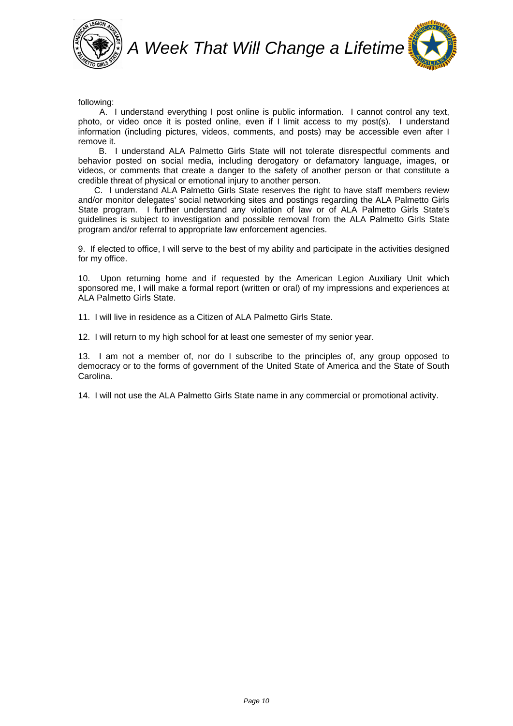



following:

 A. I understand everything I post online is public information. I cannot control any text, photo, or video once it is posted online, even if I limit access to my post(s). I understand information (including pictures, videos, comments, and posts) may be accessible even after I remove it.

 B. I understand ALA Palmetto Girls State will not tolerate disrespectful comments and behavior posted on social media, including derogatory or defamatory language, images, or videos, or comments that create a danger to the safety of another person or that constitute a credible threat of physical or emotional injury to another person.

 C. I understand ALA Palmetto Girls State reserves the right to have staff members review and/or monitor delegates' social networking sites and postings regarding the ALA Palmetto Girls State program. I further understand any violation of law or of ALA Palmetto Girls State's guidelines is subject to investigation and possible removal from the ALA Palmetto Girls State program and/or referral to appropriate law enforcement agencies.

9. If elected to office, I will serve to the best of my ability and participate in the activities designed for my office.

10. Upon returning home and if requested by the American Legion Auxiliary Unit which sponsored me, I will make a formal report (written or oral) of my impressions and experiences at ALA Palmetto Girls State.

11. I will live in residence as a Citizen of ALA Palmetto Girls State.

12. I will return to my high school for at least one semester of my senior year.

13. I am not a member of, nor do I subscribe to the principles of, any group opposed to democracy or to the forms of government of the United State of America and the State of South Carolina.

14. I will not use the ALA Palmetto Girls State name in any commercial or promotional activity.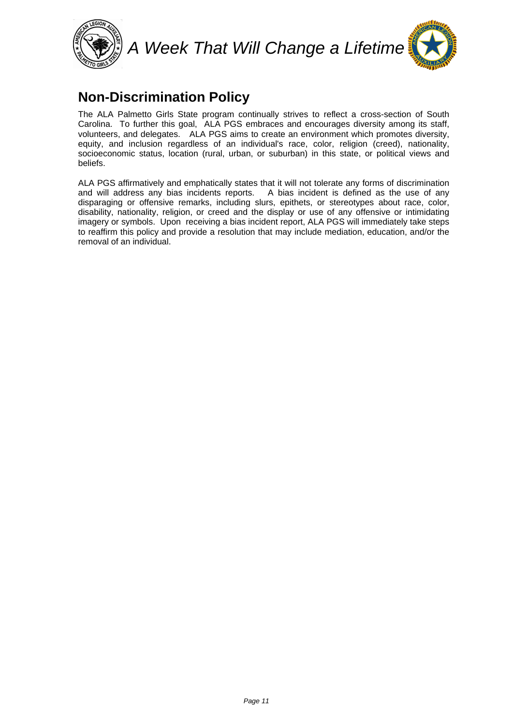



### **Non-Discrimination Policy**

The ALA Palmetto Girls State program continually strives to reflect a cross-section of South Carolina. To further this goal, ALA PGS embraces and encourages diversity among its staff, volunteers, and delegates. ALA PGS aims to create an environment which promotes diversity, equity, and inclusion regardless of an individual's race, color, religion (creed), nationality, socioeconomic status, location (rural, urban, or suburban) in this state, or political views and beliefs.

ALA PGS affirmatively and emphatically states that it will not tolerate any forms of discrimination and will address any bias incidents reports. A bias incident is defined as the use of any disparaging or offensive remarks, including slurs, epithets, or stereotypes about race, color, disability, nationality, religion, or creed and the display or use of any offensive or intimidating imagery or symbols. Upon receiving a bias incident report, ALA PGS will immediately take steps to reaffirm this policy and provide a resolution that may include mediation, education, and/or the removal of an individual.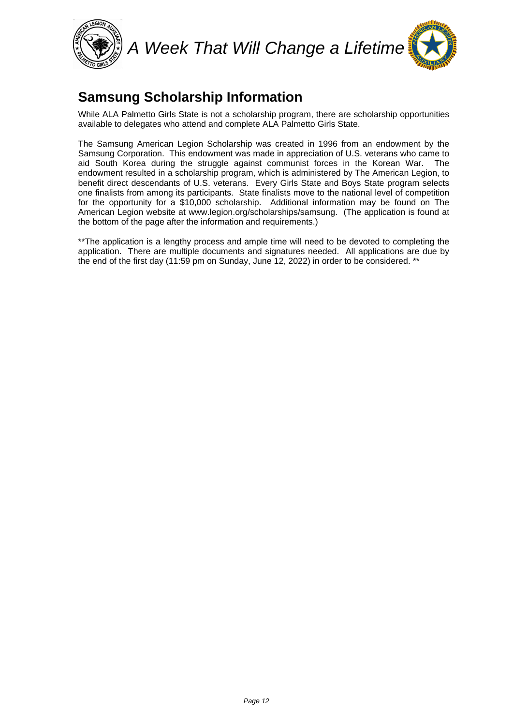

#### **Samsung Scholarship Information**

While ALA Palmetto Girls State is not a scholarship program, there are scholarship opportunities available to delegates who attend and complete ALA Palmetto Girls State.

The Samsung American Legion Scholarship was created in 1996 from an endowment by the Samsung Corporation. This endowment was made in appreciation of U.S. veterans who came to aid South Korea during the struggle against communist forces in the Korean War. The endowment resulted in a scholarship program, which is administered by The American Legion, to benefit direct descendants of U.S. veterans. Every Girls State and Boys State program selects one finalists from among its participants. State finalists move to the national level of competition for the opportunity for a \$10,000 scholarship. Additional information may be found on The American Legion website at www.legion.org/scholarships/samsung. (The application is found at the bottom of the page after the information and requirements.)

\*\*The application is a lengthy process and ample time will need to be devoted to completing the application. There are multiple documents and signatures needed. All applications are due by the end of the first day (11:59 pm on Sunday, June 12, 2022) in order to be considered. \*\*